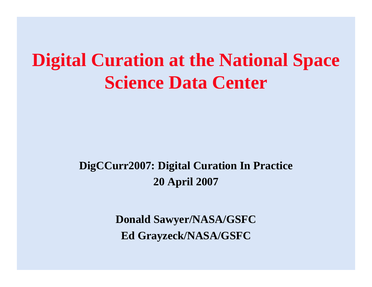### **Digital Curation at the National Space Science Data Center**

### **DigCCurr2007: Digital Curation In Practice 20 April 2007**

**Donald Sawyer/NASA/GSFC Ed Grayzeck/NASA/GSFC**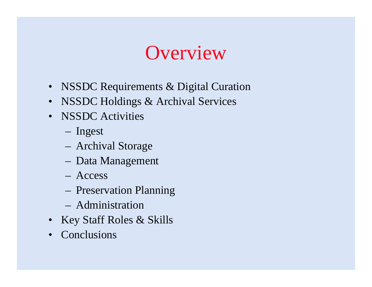## **Overview**

- NSSDC Requirements & Digital Curation
- NSSDC Holdings & Archival Services
- **NSSDC** Activities
	- Ingest
	- Archival Storage
	- Data Management
	- Access
	- Preservation Planning
	- Administration
- Key Staff Roles & Skills
- **Conclusions**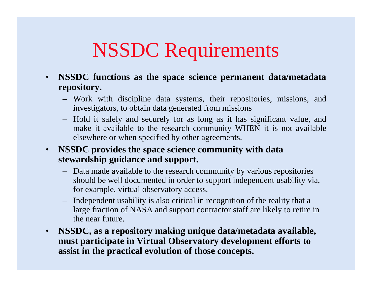## NSSDC Requirements

- $\bullet$  **NSSDC functions as the space science permanent data/metadata repository.**
	- Work with discipline data systems, their repositories, missions, and investigators, to obtain data generated from missions
	- Hold it safely and securely for as long as it has significant value, and make it available to the research community WHEN it is not available elsewhere or when specified by other agreements.
- $\bullet$  **NSSDC provides the space science community with data stewardship guidance and support.**
	- Data made available to the research community by various repositories should be well documented in order to support independent usability via, for example, virtual observatory access.
	- Independent usability is also critical in recognition of the reality that a large fraction of NASA and support contractor staff are likely to retire in the near future.
- **NSSDC, as a repository making unique data/metadata available, must participate in Virtual Observatory development efforts to assist in the practical evolution of those concepts.**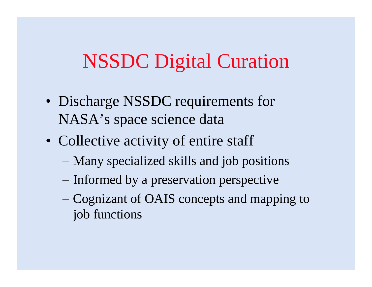## NSSDC Digital Curation

- Discharge NSSDC requirements for NASA's space science data
- Collective activity of entire staff
	- –Many specialized skills and job positions
	- –Informed by a preservation perspective
	- Cognizant of OAIS concepts and mapping to job functions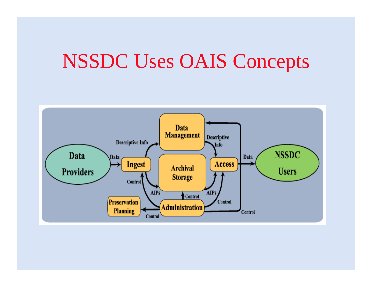## NSSDC Uses OAIS Concepts

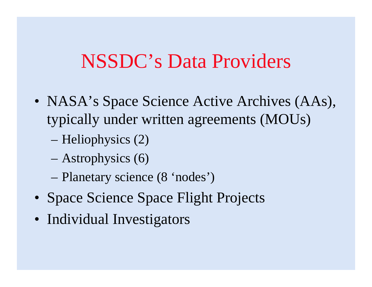### NSSDC's Data Providers

- NASA's Space Science Active Archives (AAs), typically under written agreements (MOUs)
	- Heliophysics (2)
	- Astrophysics (6)
	- Planetary science (8 'nodes')
- Space Science Space Flight Projects
- Individual Investigators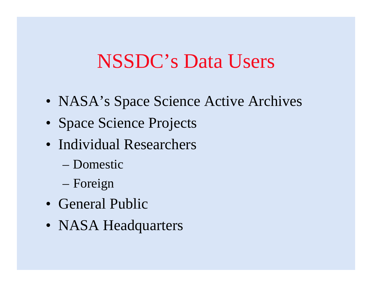## NSSDC's Data Users

- NASA's Space Science Active Archives
- Space Science Projects
- Individual Researchers
	- Domestic
	- –Foreign
- General Public
- NASA Headquarters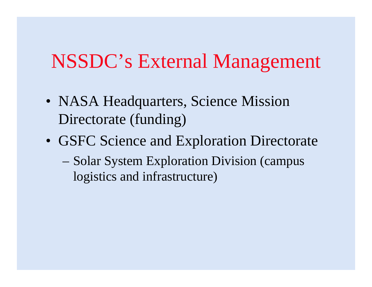## NSSDC's External Management

- NASA Headquarters, Science Mission Directorate (funding)
- GSFC Science and Exploration Directorate – Solar System Exploration Division (campus logistics and infrastructure)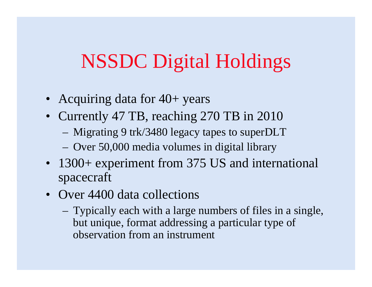## NSSDC Digital Holdings

- Acquiring data for 40+ years
- Currently 47 TB, reaching 270 TB in 2010
	- Migrating 9 trk/3480 legacy tapes to superDLT
	- Over 50,000 media volumes in digital library
- 1300+ experiment from 375 US and international spacecraft
- Over 4400 data collections
	- Typically each with a large numbers of files in a single, but unique, format addressing a particular type of observation from an instrument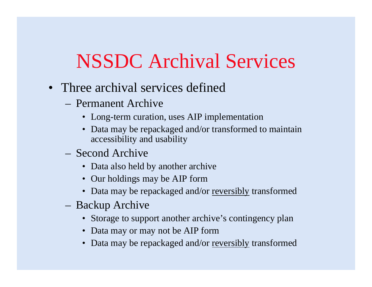## NSSDC Archival Services

- Three archival services defined
	- Permanent Archive
		- Long-term curation, uses AIP implementation
		- Data may be repackaged and/or transformed to maintain accessibility and usability
	- Second Archive
		- Data also held by another archive
		- Our holdings may be AIP form
		- Data may be repackaged and/or <u>reversibly</u> transformed
	- Backup Archive
		- Storage to support another archive's contingency plan
		- Data may or may not be AIP form
		- Data may be repackaged and/or <u>reversibly</u> transformed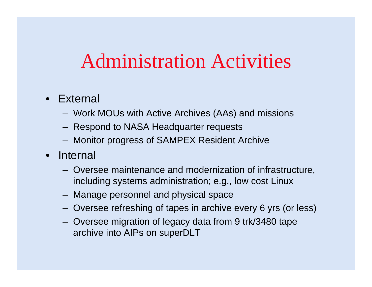### Administration Activities

#### • External

- Work MOUs with Active Archives (AAs) and missions
- Respond to NASA Headquarter requests
- Monitor progress of SAMPEX Resident Archive
- $\bullet$  Internal
	- Oversee maintenance and modernization of infrastructure, including systems administration; e.g., low cost Linux
	- Manage personnel and physical space
	- Oversee refreshing of tapes in archive every 6 yrs (or less)
	- Oversee migration of legacy data from 9 trk/3480 tape archive into AIPs on superDLT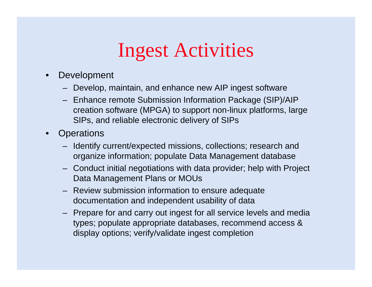## Ingest Activities

- $\bullet$  Development
	- Develop, maintain, and enhance new AIP ingest software
	- Enhance remote Submission Information Package (SIP)/AIP creation software (MPGA) to support non-linux platforms, large SIPs, and reliable electronic delivery of SIPs
- $\bullet$ **Operations** 
	- Identify current/expected missions, collections; research and organize information; populate Data Management database
	- Conduct initial negotiations with data provider; help with Project Data Management Plans or MOUs
	- Review submission information to ensure adequate documentation and independent usability of data
	- Prepare for and carry out ingest for all service levels and media types; populate appropriate databases, recommend access & display options; verify/validate ingest completion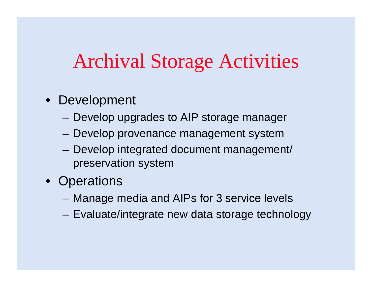## Archival Storage Activities

- Development
	- **Harry Committee** Develop upgrades to AIP storage manager
	- **Harry Committee** Develop provenance management system
	- **Harry Committee**  Develop integrated document management/ preservation system
- Operations
	- and the state of the state Manage media and AIPs for 3 service levels
	- and the state of the state Evaluate/integrate new data storage technology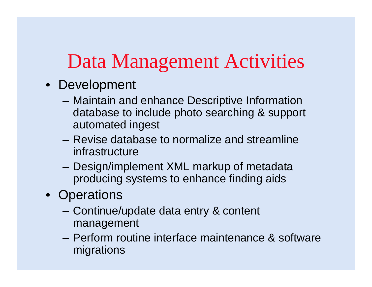## Data Management Activities

- Development
	- – Maintain and enhance Descriptive Information database to include photo searching & support automated ingest
	- Revise database to normalize and streamline infrastructure
	- and the state of the state Design/implement XML markup of metadata producing systems to enhance finding aids
- Operations
	- – Continue/update data entry & content management
	- Perform routine interface maintenance & software migrations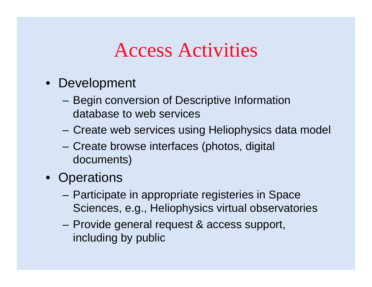## Access Activities

- Development
	- **Harry Committee**  Begin conversion of Descriptive Information database to web services
	- –Create web services using Heliophysics data model
	- – Create browse interfaces (photos, digital documents)
- Operations
	- **Harry Committee**  Participate in appropriate registeries in Space Sciences, e.g., Heliophysics virtual observatories
	- – Provide general request & access support, including by public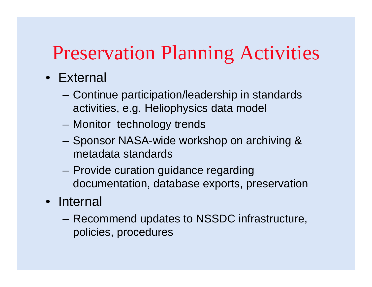## Preservation Planning Activities

### • External

- **Harry Committee**  Continue participation/leadership in standards activities, e.g. Heliophysics data model
- –Monitor technology trends
- – Sponsor NASA-wide workshop on archiving & metadata standards
- and the state of the state Provide curation guidance regarding documentation, database exports, preservation
- Internal
	- – Recommend updates to NSSDC infrastructure, policies, procedures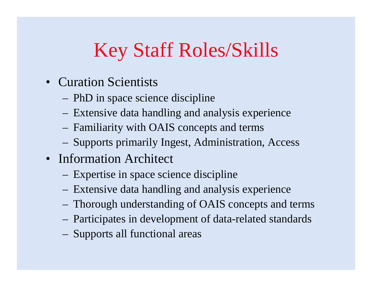# Key Staff Roles/Skills

- Curation Scientists
	- PhD in space science discipline
	- Extensive data handling and analysis experience
	- Familiarity with OAIS concepts and terms
	- Supports primarily Ingest, Administration, Access
- Information Architect
	- Expertise in space science discipline
	- Extensive data handling and analysis experience
	- Thorough understanding of OAIS concepts and terms
	- Participates in development of data-related standards
	- Supports all functional areas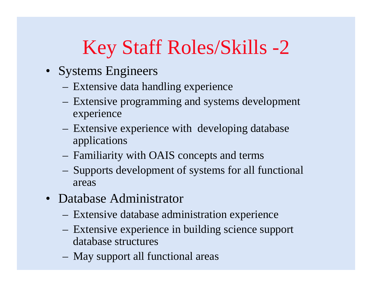# Key Staff Roles/Skills -2

- Systems Engineers
	- Extensive data handling experience
	- Extensive programming and systems development experience
	- Extensive experience with developing database applications
	- Familiarity with OAIS concepts and terms
	- Supports development of systems for all functional areas
- Database Administrator
	- Extensive database administration experience
	- Extensive experience in building science suppor<sup>t</sup> database structures
	- May support all functional areas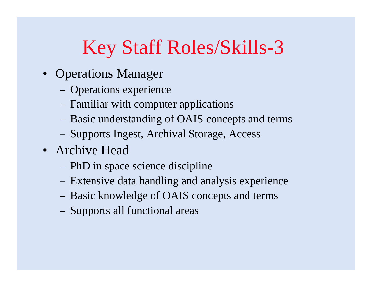# Key Staff Roles/Skills-3

- Operations Manager
	- Operations experience
	- Familiar with computer applications
	- Basic understanding of OAIS concepts and terms
	- Supports Ingest, Archival Storage, Access
- Archive Head
	- PhD in space science discipline
	- Extensive data handling and analysis experience
	- Basic knowledge of OAIS concepts and terms
	- Supports all functional areas